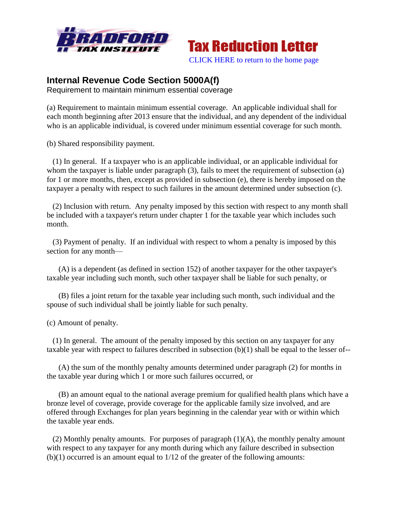



## **Internal Revenue Code Section 5000A(f)**

Requirement to maintain minimum essential coverage

(a) Requirement to maintain minimum essential coverage. An applicable individual shall for each month beginning after 2013 ensure that the individual, and any dependent of the individual who is an applicable individual, is covered under minimum essential coverage for such month.

(b) Shared responsibility payment.

 (1) In general. If a taxpayer who is an applicable individual, or an applicable individual for whom the taxpayer is liable under paragraph (3), fails to meet the requirement of subsection (a) for 1 or more months, then, except as provided in subsection (e), there is hereby imposed on the taxpayer a penalty with respect to such failures in the amount determined under subsection (c).

 (2) Inclusion with return. Any penalty imposed by this section with respect to any month shall be included with a taxpayer's return under chapter 1 for the taxable year which includes such month.

 (3) Payment of penalty. If an individual with respect to whom a penalty is imposed by this section for any month—

 (A) is a dependent (as defined in section 152) of another taxpayer for the other taxpayer's taxable year including such month, such other taxpayer shall be liable for such penalty, or

 (B) files a joint return for the taxable year including such month, such individual and the spouse of such individual shall be jointly liable for such penalty.

(c) Amount of penalty.

 (1) In general. The amount of the penalty imposed by this section on any taxpayer for any taxable year with respect to failures described in subsection (b)(1) shall be equal to the lesser of--

 (A) the sum of the monthly penalty amounts determined under paragraph (2) for months in the taxable year during which 1 or more such failures occurred, or

 (B) an amount equal to the national average premium for qualified health plans which have a bronze level of coverage, provide coverage for the applicable family size involved, and are offered through Exchanges for plan years beginning in the calendar year with or within which the taxable year ends.

 (2) Monthly penalty amounts. For purposes of paragraph (1)(A), the monthly penalty amount with respect to any taxpayer for any month during which any failure described in subsection  $(b)(1)$  occurred is an amount equal to  $1/12$  of the greater of the following amounts: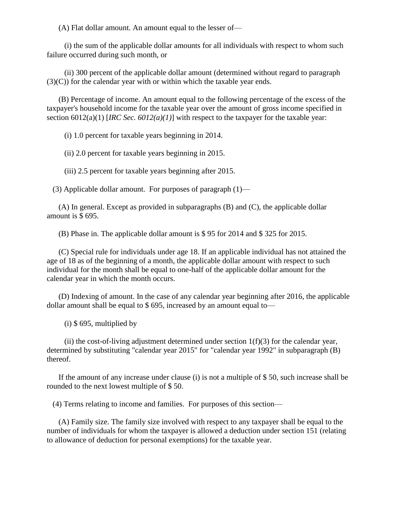(A) Flat dollar amount. An amount equal to the lesser of—

 (i) the sum of the applicable dollar amounts for all individuals with respect to whom such failure occurred during such month, or

 (ii) 300 percent of the applicable dollar amount (determined without regard to paragraph (3)(C)) for the calendar year with or within which the taxable year ends.

 (B) Percentage of income. An amount equal to the following percentage of the excess of the taxpayer's household income for the taxable year over the amount of gross income specified in section 6012(a)(1) [*IRC Sec. 6012(a)(1)*] with respect to the taxpayer for the taxable year:

(i) 1.0 percent for taxable years beginning in 2014.

(ii) 2.0 percent for taxable years beginning in 2015.

(iii) 2.5 percent for taxable years beginning after 2015.

(3) Applicable dollar amount. For purposes of paragraph (1)—

 (A) In general. Except as provided in subparagraphs (B) and (C), the applicable dollar amount is \$ 695.

(B) Phase in. The applicable dollar amount is \$ 95 for 2014 and \$ 325 for 2015.

 (C) Special rule for individuals under age 18. If an applicable individual has not attained the age of 18 as of the beginning of a month, the applicable dollar amount with respect to such individual for the month shall be equal to one-half of the applicable dollar amount for the calendar year in which the month occurs.

 (D) Indexing of amount. In the case of any calendar year beginning after 2016, the applicable dollar amount shall be equal to \$ 695, increased by an amount equal to—

 $(i)$  \$ 695, multiplied by

(ii) the cost-of-living adjustment determined under section  $1(f)(3)$  for the calendar year, determined by substituting "calendar year 2015" for "calendar year 1992" in subparagraph (B) thereof.

 If the amount of any increase under clause (i) is not a multiple of \$ 50, such increase shall be rounded to the next lowest multiple of \$ 50.

(4) Terms relating to income and families. For purposes of this section—

 (A) Family size. The family size involved with respect to any taxpayer shall be equal to the number of individuals for whom the taxpayer is allowed a deduction under section 151 (relating to allowance of deduction for personal exemptions) for the taxable year.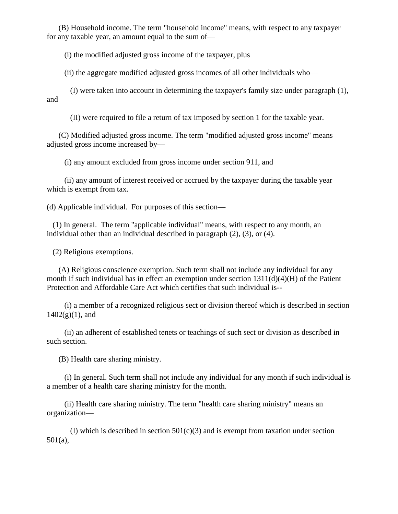(B) Household income. The term "household income" means, with respect to any taxpayer for any taxable year, an amount equal to the sum of—

(i) the modified adjusted gross income of the taxpayer, plus

(ii) the aggregate modified adjusted gross incomes of all other individuals who—

 (I) were taken into account in determining the taxpayer's family size under paragraph (1), and

(II) were required to file a return of tax imposed by section 1 for the taxable year.

 (C) Modified adjusted gross income. The term "modified adjusted gross income" means adjusted gross income increased by—

(i) any amount excluded from gross income under section 911, and

 (ii) any amount of interest received or accrued by the taxpayer during the taxable year which is exempt from tax.

(d) Applicable individual. For purposes of this section—

 (1) In general. The term "applicable individual" means, with respect to any month, an individual other than an individual described in paragraph (2), (3), or (4).

(2) Religious exemptions.

 (A) Religious conscience exemption. Such term shall not include any individual for any month if such individual has in effect an exemption under section 1311(d)(4)(H) of the Patient Protection and Affordable Care Act which certifies that such individual is--

 (i) a member of a recognized religious sect or division thereof which is described in section  $1402(g)(1)$ , and

 (ii) an adherent of established tenets or teachings of such sect or division as described in such section.

(B) Health care sharing ministry.

 (i) In general. Such term shall not include any individual for any month if such individual is a member of a health care sharing ministry for the month.

 (ii) Health care sharing ministry. The term "health care sharing ministry" means an organization—

(I) which is described in section  $501(c)(3)$  and is exempt from taxation under section 501(a),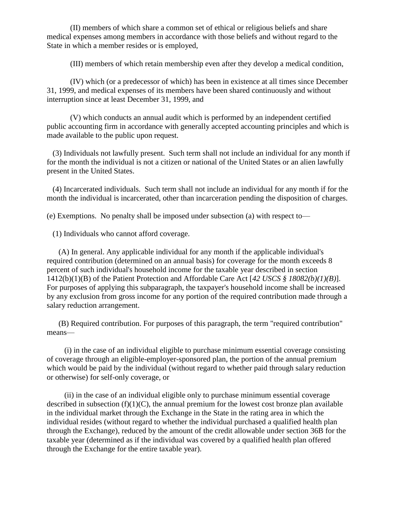(II) members of which share a common set of ethical or religious beliefs and share medical expenses among members in accordance with those beliefs and without regard to the State in which a member resides or is employed,

(III) members of which retain membership even after they develop a medical condition,

 (IV) which (or a predecessor of which) has been in existence at all times since December 31, 1999, and medical expenses of its members have been shared continuously and without interruption since at least December 31, 1999, and

 (V) which conducts an annual audit which is performed by an independent certified public accounting firm in accordance with generally accepted accounting principles and which is made available to the public upon request.

 (3) Individuals not lawfully present. Such term shall not include an individual for any month if for the month the individual is not a citizen or national of the United States or an alien lawfully present in the United States.

 (4) Incarcerated individuals. Such term shall not include an individual for any month if for the month the individual is incarcerated, other than incarceration pending the disposition of charges.

(e) Exemptions. No penalty shall be imposed under subsection (a) with respect to—

(1) Individuals who cannot afford coverage.

 (A) In general. Any applicable individual for any month if the applicable individual's required contribution (determined on an annual basis) for coverage for the month exceeds 8 percent of such individual's household income for the taxable year described in section 1412(b)(1)(B) of the Patient Protection and Affordable Care Act [*42 USCS § 18082(b)(1)(B)*]. For purposes of applying this subparagraph, the taxpayer's household income shall be increased by any exclusion from gross income for any portion of the required contribution made through a salary reduction arrangement.

 (B) Required contribution. For purposes of this paragraph, the term "required contribution" means—

 (i) in the case of an individual eligible to purchase minimum essential coverage consisting of coverage through an eligible-employer-sponsored plan, the portion of the annual premium which would be paid by the individual (without regard to whether paid through salary reduction or otherwise) for self-only coverage, or

 (ii) in the case of an individual eligible only to purchase minimum essential coverage described in subsection  $(f)(1)(C)$ , the annual premium for the lowest cost bronze plan available in the individual market through the Exchange in the State in the rating area in which the individual resides (without regard to whether the individual purchased a qualified health plan through the Exchange), reduced by the amount of the credit allowable under section 36B for the taxable year (determined as if the individual was covered by a qualified health plan offered through the Exchange for the entire taxable year).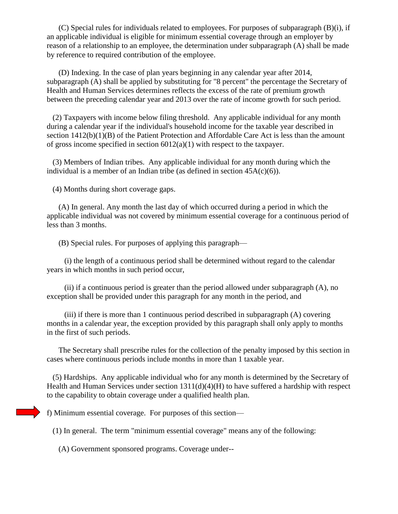(C) Special rules for individuals related to employees. For purposes of subparagraph (B)(i), if an applicable individual is eligible for minimum essential coverage through an employer by reason of a relationship to an employee, the determination under subparagraph (A) shall be made by reference to required contribution of the employee.

 (D) Indexing. In the case of plan years beginning in any calendar year after 2014, subparagraph (A) shall be applied by substituting for "8 percent" the percentage the Secretary of Health and Human Services determines reflects the excess of the rate of premium growth between the preceding calendar year and 2013 over the rate of income growth for such period.

 (2) Taxpayers with income below filing threshold. Any applicable individual for any month during a calendar year if the individual's household income for the taxable year described in section 1412(b)(1)(B) of the Patient Protection and Affordable Care Act is less than the amount of gross income specified in section 6012(a)(1) with respect to the taxpayer.

 (3) Members of Indian tribes. Any applicable individual for any month during which the individual is a member of an Indian tribe (as defined in section  $45A(c)(6)$ ).

(4) Months during short coverage gaps.

 (A) In general. Any month the last day of which occurred during a period in which the applicable individual was not covered by minimum essential coverage for a continuous period of less than 3 months.

(B) Special rules. For purposes of applying this paragraph—

 (i) the length of a continuous period shall be determined without regard to the calendar years in which months in such period occur,

 (ii) if a continuous period is greater than the period allowed under subparagraph (A), no exception shall be provided under this paragraph for any month in the period, and

 (iii) if there is more than 1 continuous period described in subparagraph (A) covering months in a calendar year, the exception provided by this paragraph shall only apply to months in the first of such periods.

 The Secretary shall prescribe rules for the collection of the penalty imposed by this section in cases where continuous periods include months in more than 1 taxable year.

 (5) Hardships. Any applicable individual who for any month is determined by the Secretary of Health and Human Services under section  $1311(d)(4)(H)$  to have suffered a hardship with respect to the capability to obtain coverage under a qualified health plan.

f) Minimum essential coverage. For purposes of this section—

(1) In general. The term "minimum essential coverage" means any of the following:

(A) Government sponsored programs. Coverage under--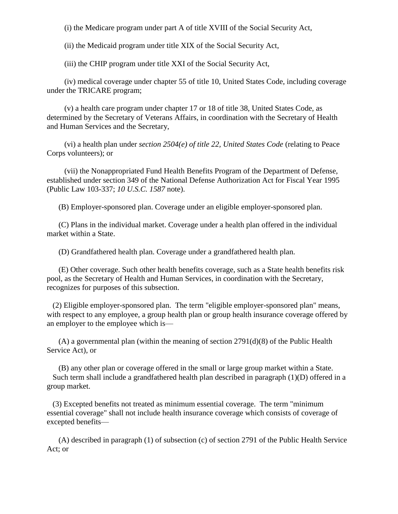(i) the Medicare program under part A of title XVIII of the Social Security Act,

(ii) the Medicaid program under title XIX of the Social Security Act,

(iii) the CHIP program under title XXI of the Social Security Act,

 (iv) medical coverage under chapter 55 of title 10, United States Code, including coverage under the TRICARE program;

 (v) a health care program under chapter 17 or 18 of title 38, United States Code, as determined by the Secretary of Veterans Affairs, in coordination with the Secretary of Health and Human Services and the Secretary,

 (vi) a health plan under *section 2504(e) of title 22, United States Code* (relating to Peace Corps volunteers); or

 (vii) the Nonappropriated Fund Health Benefits Program of the Department of Defense, established under section 349 of the National Defense Authorization Act for Fiscal Year 1995 (Public Law 103-337; *10 U.S.C. 1587* note).

(B) Employer-sponsored plan. Coverage under an eligible employer-sponsored plan.

 (C) Plans in the individual market. Coverage under a health plan offered in the individual market within a State.

(D) Grandfathered health plan. Coverage under a grandfathered health plan.

 (E) Other coverage. Such other health benefits coverage, such as a State health benefits risk pool, as the Secretary of Health and Human Services, in coordination with the Secretary, recognizes for purposes of this subsection.

 (2) Eligible employer-sponsored plan. The term "eligible employer-sponsored plan" means, with respect to any employee, a group health plan or group health insurance coverage offered by an employer to the employee which is—

(A) a governmental plan (within the meaning of section  $2791(d)(8)$  of the Public Health Service Act), or

 (B) any other plan or coverage offered in the small or large group market within a State. Such term shall include a grandfathered health plan described in paragraph (1)(D) offered in a group market.

 (3) Excepted benefits not treated as minimum essential coverage. The term "minimum essential coverage" shall not include health insurance coverage which consists of coverage of excepted benefits—

 (A) described in paragraph (1) of subsection (c) of section 2791 of the Public Health Service Act; or